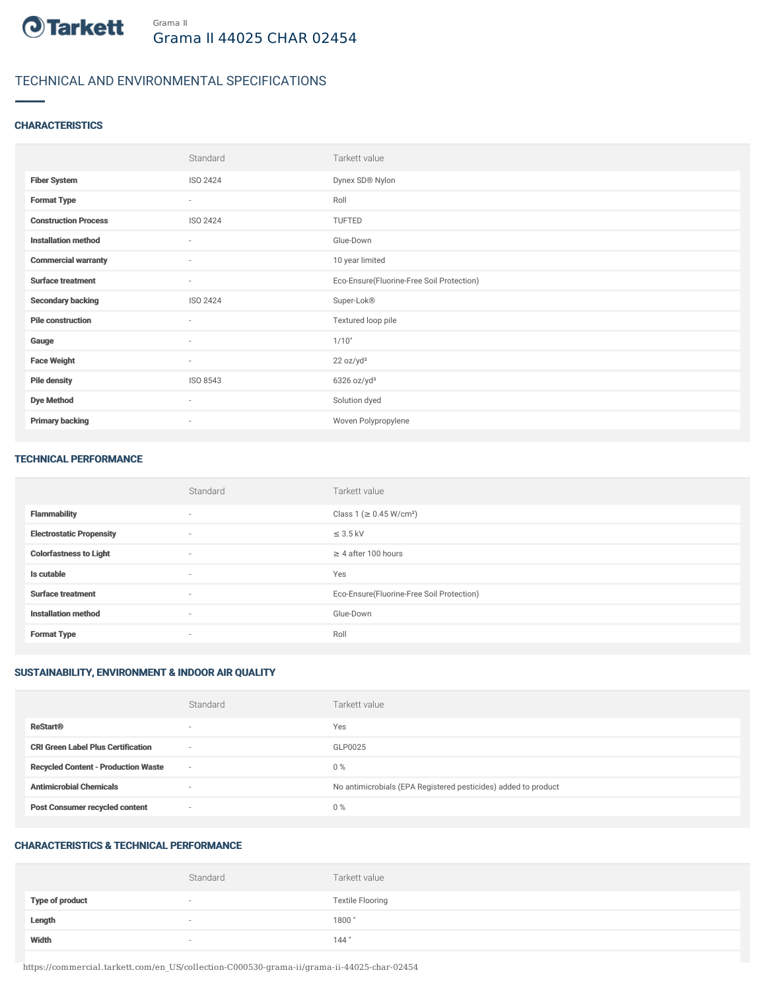

## TECHNICAL AND ENVIRONMENTAL SPECIFICATIONS

#### **CHARACTERISTICS**

|                             | Standard | Tarkett value                             |
|-----------------------------|----------|-------------------------------------------|
| <b>Fiber System</b>         | ISO 2424 | Dynex SD® Nylon                           |
| <b>Format Type</b>          | $\sim$   | Roll                                      |
| <b>Construction Process</b> | ISO 2424 | TUFTED                                    |
| <b>Installation method</b>  | $\sim$   | Glue-Down                                 |
| <b>Commercial warranty</b>  | $\sim$   | 10 year limited                           |
| <b>Surface treatment</b>    | $\sim$   | Eco-Ensure(Fluorine-Free Soil Protection) |
| <b>Secondary backing</b>    | ISO 2424 | Super-Lok®                                |
| <b>Pile construction</b>    | $\sim$   | Textured loop pile                        |
| Gauge                       | $\sim$   | 1/10"                                     |
| <b>Face Weight</b>          | $\sim$   | 22 oz/yd <sup>2</sup>                     |
| <b>Pile density</b>         | ISO 8543 | $6326$ oz/yd <sup>3</sup>                 |
| <b>Dye Method</b>           | $\sim$   | Solution dyed                             |
| <b>Primary backing</b>      | $\sim$   | Woven Polypropylene                       |

#### TECHNICAL PERFORMANCE

|                                 | Standard                 | Tarkett value                             |
|---------------------------------|--------------------------|-------------------------------------------|
| <b>Flammability</b>             | $\overline{\phantom{a}}$ | Class 1 (≥ 0.45 W/cm <sup>2</sup> )       |
| <b>Electrostatic Propensity</b> | $\sim$                   | $\leq$ 3.5 kV                             |
| <b>Colorfastness to Light</b>   | $\sim$                   | $\geq$ 4 after 100 hours                  |
| Is cutable                      | $\overline{\phantom{a}}$ | Yes                                       |
| <b>Surface treatment</b>        | $\sim$                   | Eco-Ensure(Fluorine-Free Soil Protection) |
| <b>Installation method</b>      | $\sim$                   | Glue-Down                                 |
| <b>Format Type</b>              | $\overline{\phantom{a}}$ | Roll                                      |

### SUSTAINABILITY, ENVIRONMENT & INDOOR AIR QUALITY

|                                            | Standard                 | Tarkett value                                                  |
|--------------------------------------------|--------------------------|----------------------------------------------------------------|
| <b>ReStart®</b>                            | $\overline{\phantom{a}}$ | Yes                                                            |
| <b>CRI Green Label Plus Certification</b>  | $\overline{\phantom{a}}$ | GLP0025                                                        |
| <b>Recycled Content - Production Waste</b> | $\sim$                   | $0\%$                                                          |
| <b>Antimicrobial Chemicals</b>             | $\overline{\phantom{a}}$ | No antimicrobials (EPA Registered pesticides) added to product |
| <b>Post Consumer recycled content</b>      | $\overline{\phantom{a}}$ | $0\%$                                                          |

### CHARACTERISTICS & TECHNICAL PERFORMANCE

|                        | Standard                 | Tarkett value           |
|------------------------|--------------------------|-------------------------|
| <b>Type of product</b> | $\overline{\phantom{a}}$ | <b>Textile Flooring</b> |
| Length                 | $\overline{\phantom{a}}$ | 1800                    |
| Width                  | $\sim$                   | 144"                    |

https://commercial.tarkett.com/en\_US/collection-C000530-grama-ii/grama-ii-44025-char-02454